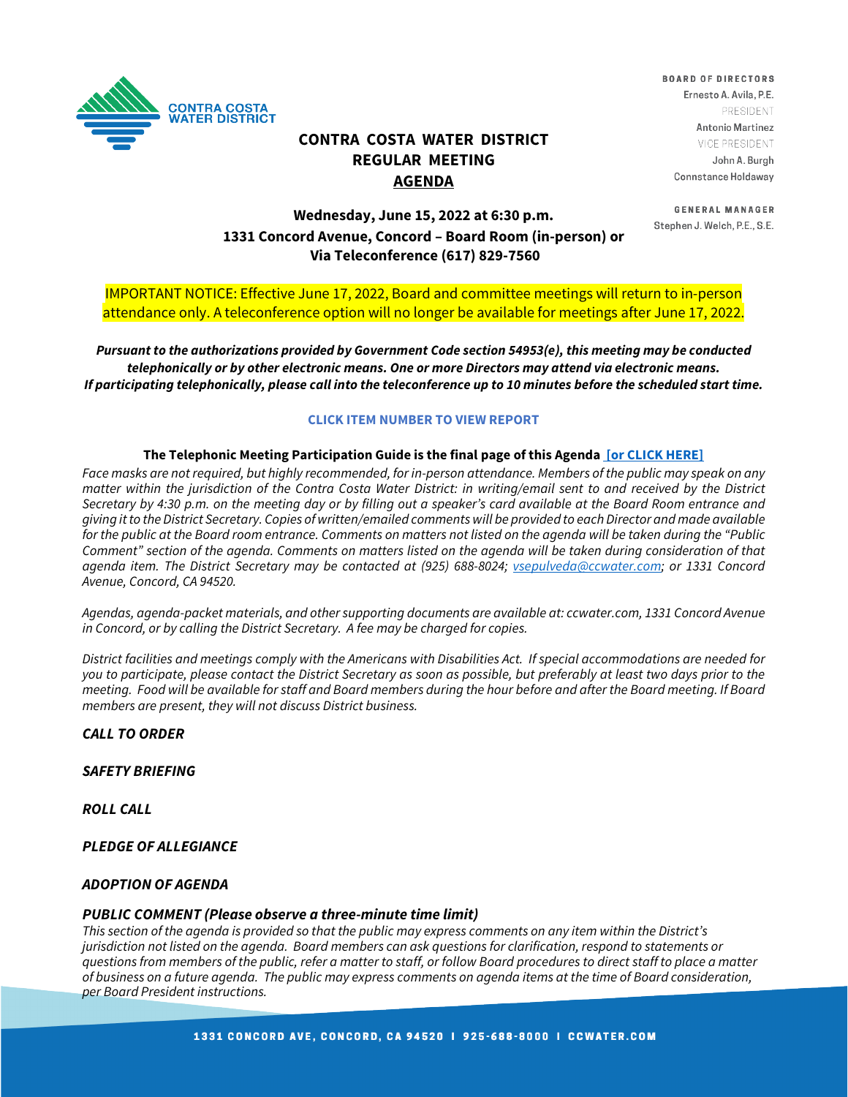

**CONTRA COSTA WATER DISTRICT REGULAR MEETING AGENDA**

**BOARD OF DIRECTORS** Ernesto A. Avila, P.E. PRESIDENT Antonio Martinez VICE PRESIDENT John A. Burgh Connstance Holdaway

**GENERAL MANAGER** Stephen J. Welch, P.E., S.E.

# **Wednesday, June 15, 2022 at 6:30 p.m. 1331 Concord Avenue, Concord – Board Room (in-person) or Via Teleconference (617) 829-7560**

IMPORTANT NOTICE: Effective June 17, 2022, Board and committee meetings will return to in-person attendance only. A teleconference option will no longer be available for meetings after June 17, 2022.

*Pursuant to the authorizations provided by Government Code section 54953(e), this meeting may be conducted telephonically or by other electronic means. One or more Directors may attend via electronic means. If participating telephonically, please call into the teleconference up to 10 minutes before the scheduled start time.* 

### **CLICK ITEM NUMBER TO VIEW REPORT**

### **The Telephonic Meeting Participation Guide is the final page of this Agenda [\[or CLICK HERE\]](https://www.ccwater.com/DocumentCenter/View/11269/Teleconference-Guide---Update-52722)**

Face masks are not required, but highly recommended, for in-person attendance. Members of the public may speak on any *matter within the jurisdiction of the Contra Costa Water District: in writing/email sent to and received by the District Secretary by 4:30 p.m. on the meeting day or by filling out a speaker's card available at the Board Room entrance and giving it to the District Secretary. Copies of written/emailed comments will be provided to each Director and made available for the public at the Board room entrance. Comments on matters not listed on the agenda will be taken during the "Public*  Comment" section of the agenda. Comments on matters listed on the agenda will be taken during consideration of that *agenda item. The District Secretary may be contacted at (925) 688-8024; [vsepulveda@ccwater.com;](mailto:vsepulveda@ccwater.com) or 1331 Concord Avenue, Concord, CA 94520.*

*Agendas, agenda-packet materials, and other supporting documents are available at: ccwater.com, 1331 Concord Avenue in Concord, or by calling the District Secretary. A fee may be charged for copies.* 

*District facilities and meetings comply with the Americans with Disabilities Act. If special accommodations are needed for you to participate, please contact the District Secretary as soon as possible, but preferably at least two days prior to the meeting. Food will be available for staff and Board members during the hour before and after the Board meeting. If Board members are present, they will not discuss District business.*

*CALL TO ORDER*

*SAFETY BRIEFING*

*ROLL CALL*

*PLEDGE OF ALLEGIANCE*

### *ADOPTION OF AGENDA*

### *PUBLIC COMMENT (Please observe a three-minute time limit)*

*This section of the agenda is provided so that the public may express comments on any item within the District's jurisdiction not listed on the agenda. Board members can ask questions for clarification, respond to statements or questions from members of the public, refer a matter to staff, or follow Board procedures to direct staff to place a matter of business on a future agenda. The public may express comments on agenda items at the time of Board consideration, per Board President instructions.*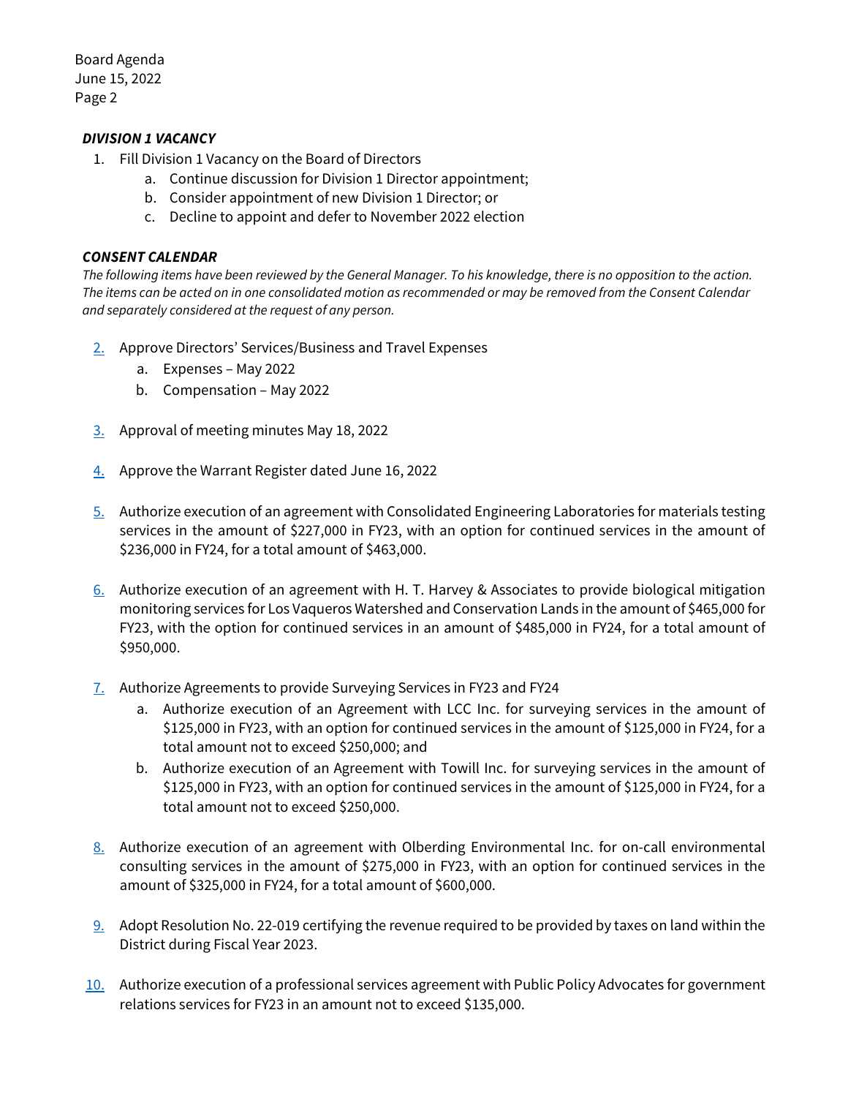## *DIVISION 1 VACANCY*

- 1. Fill Division 1 Vacancy on the Board of Directors
	- a. Continue discussion for Division 1 Director appointment;
	- b. Consider appointment of new Division 1 Director; or
	- c. Decline to appoint and defer to November 2022 election

## *CONSENT CALENDAR*

*The following items have been reviewed by the General Manager. To his knowledge, there is no opposition to the action. The items can be acted on in one consolidated motion as recommended or may be removed from the Consent Calendar and separately considered at the request of any person.*

- [2.](https://www.ccwater.com/DocumentCenter/View/11306/2-May-2022-Board-Expenses-and-Compensations) Approve Directors' Services/Business and Travel Expenses
	- a. Expenses May 2022
	- b. Compensation May 2022
- [3.](https://www.ccwater.com/DocumentCenter/View/11303/3-051822-Board-Meeting-Minutes) Approval of meeting minutes May 18, 2022
- [4.](https://www.ccwater.com/DocumentCenter/View/11304/4-06-16-22-Warrant-Packet) Approve the Warrant Register dated June 16, 2022
- [5.](https://www.ccwater.com/DocumentCenter/View/11305/5-Materials-Testing-Services) Authorize execution of an agreement with Consolidated Engineering Laboratories for materials testing services in the amount of \$227,000 in FY23, with an option for continued services in the amount of \$236,000 in FY24, for a total amount of \$463,000.
- [6.](https://www.ccwater.com/DocumentCenter/View/11316/6-Authorize-Agmnt-for-Biological-Monitoring-FY23-24) Authorize execution of an agreement with H. T. Harvey & Associates to provide biological mitigation monitoring services for Los Vaqueros Watershed and Conservation Lands in the amount of \$465,000 for FY23, with the option for continued services in an amount of \$485,000 in FY24, for a total amount of \$950,000.
- [7.](https://www.ccwater.com/DocumentCenter/View/11307/7-Surveying-Services-Agreement) Authorize Agreements to provide Surveying Services in FY23 and FY24
	- a. Authorize execution of an Agreement with LCC Inc. for surveying services in the amount of \$125,000 in FY23, with an option for continued services in the amount of \$125,000 in FY24, for a total amount not to exceed \$250,000; and
	- b. Authorize execution of an Agreement with Towill Inc. for surveying services in the amount of \$125,000 in FY23, with an option for continued services in the amount of \$125,000 in FY24, for a total amount not to exceed \$250,000.
- [8.](https://www.ccwater.com/DocumentCenter/View/11308/8-Award-of-FY23-24-On-Call-Env-Services-Contract) Authorize execution of an agreement with Olberding Environmental Inc. for on-call environmental consulting services in the amount of \$275,000 in FY23, with an option for continued services in the amount of \$325,000 in FY24, for a total amount of \$600,000.
- $9.$  Adopt Resolution No. 22-019 certifying the revenue required to be provided by taxes on land within the District during Fiscal Year 2023.
- [10.](https://www.ccwater.com/DocumentCenter/View/11310/10-Authorize-Agreement-with-PPA-for-FY-23) Authorize execution of a professional services agreement with Public Policy Advocates for government relations services for FY23 in an amount not to exceed \$135,000.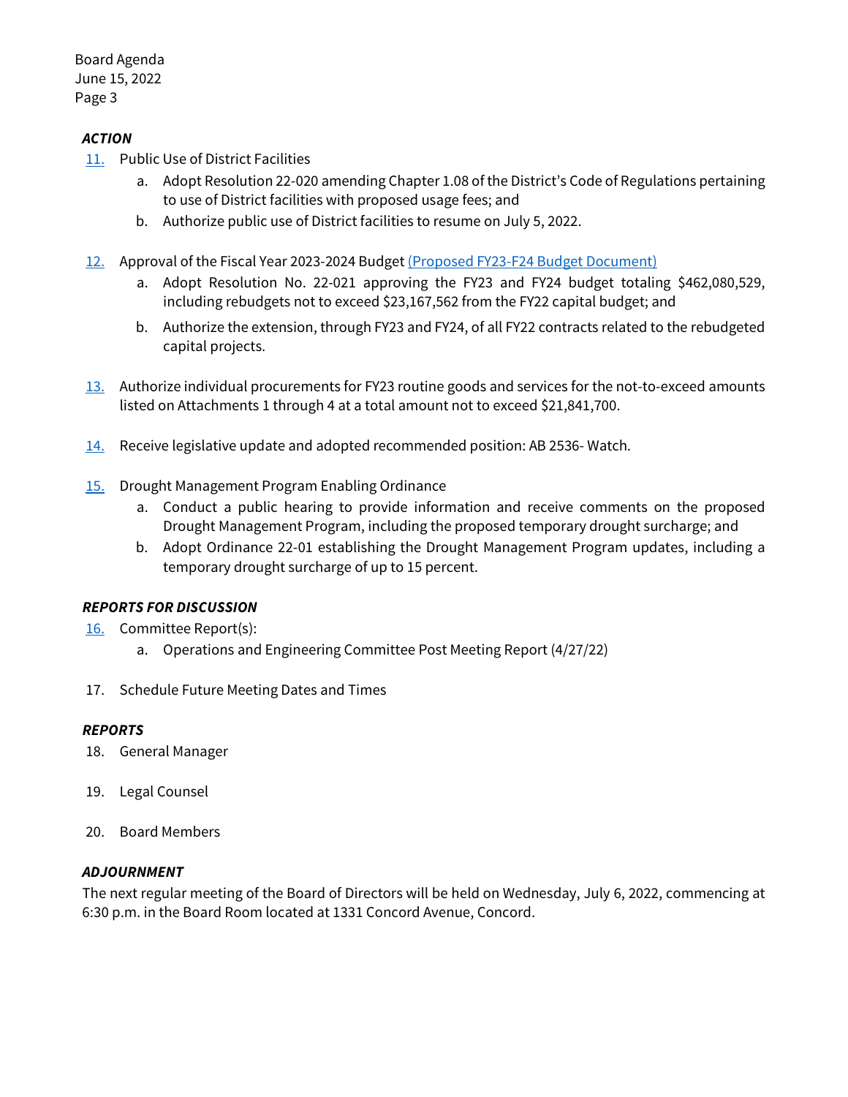## *ACTION*

- [11.](https://www.ccwater.com/DocumentCenter/View/11311/11-Public-Use-of-District-Facilities) Public Use of District Facilities
	- a. Adopt Resolution 22-020 amending Chapter 1.08 of the District's Code of Regulations pertaining to use of District facilities with proposed usage fees; and
	- b. Authorize public use of District facilities to resume on July 5, 2022.
- [12.](https://www.ccwater.com/DocumentCenter/View/11312/12-FY23-FY24-Budget-Adoption) Approval of the Fiscal Year 2023-2024 Budget [\(Proposed FY23-F24 Budget Document\)](https://www.ccwater.com/DocumentCenter/View/11164/FY23-FY24-Proposed-Budget_June1)
	- a. Adopt Resolution No. 22-021 approving the FY23 and FY24 budget totaling \$462,080,529, including rebudgets not to exceed \$23,167,562 from the FY22 capital budget; and
	- b. Authorize the extension, through FY23 and FY24, of all FY22 contracts related to the rebudgeted capital projects.
- [13.](https://www.ccwater.com/DocumentCenter/View/11313/13-Request-for-Goods-and-Services-over-100000) Authorize individual procurements for FY23 routine goods and services for the not-to-exceed amounts listed on Attachments 1 through 4 at a total amount not to exceed \$21,841,700.
- [14.](https://www.ccwater.com/DocumentCenter/View/11314/14-Legislative-Update---June-2022) Receive legislative update and adopted recommended position: AB 2536- Watch.
- [15.](https://www.ccwater.com/DocumentCenter/View/11315/15-Drought-Management-Program-Ordinance) Drought Management Program Enabling Ordinance
	- a. Conduct a public hearing to provide information and receive comments on the proposed Drought Management Program, including the proposed temporary drought surcharge; and
	- b. Adopt Ordinance 22-01 establishing the Drought Management Program updates, including a temporary drought surcharge of up to 15 percent.

## *REPORTS FOR DISCUSSION*

- [16.](https://www.ccwater.com/DocumentCenter/View/11317/16-051622-OE-Committee---Post-Meeting-Report) Committee Report(s):
	- a. Operations and Engineering Committee Post Meeting Report (4/27/22)
- 17. Schedule Future Meeting Dates and Times

## *REPORTS*

- 18. General Manager
- 19. Legal Counsel
- 20. Board Members

## *ADJOURNMENT*

The next regular meeting of the Board of Directors will be held on Wednesday, July 6, 2022, commencing at 6:30 p.m. in the Board Room located at 1331 Concord Avenue, Concord.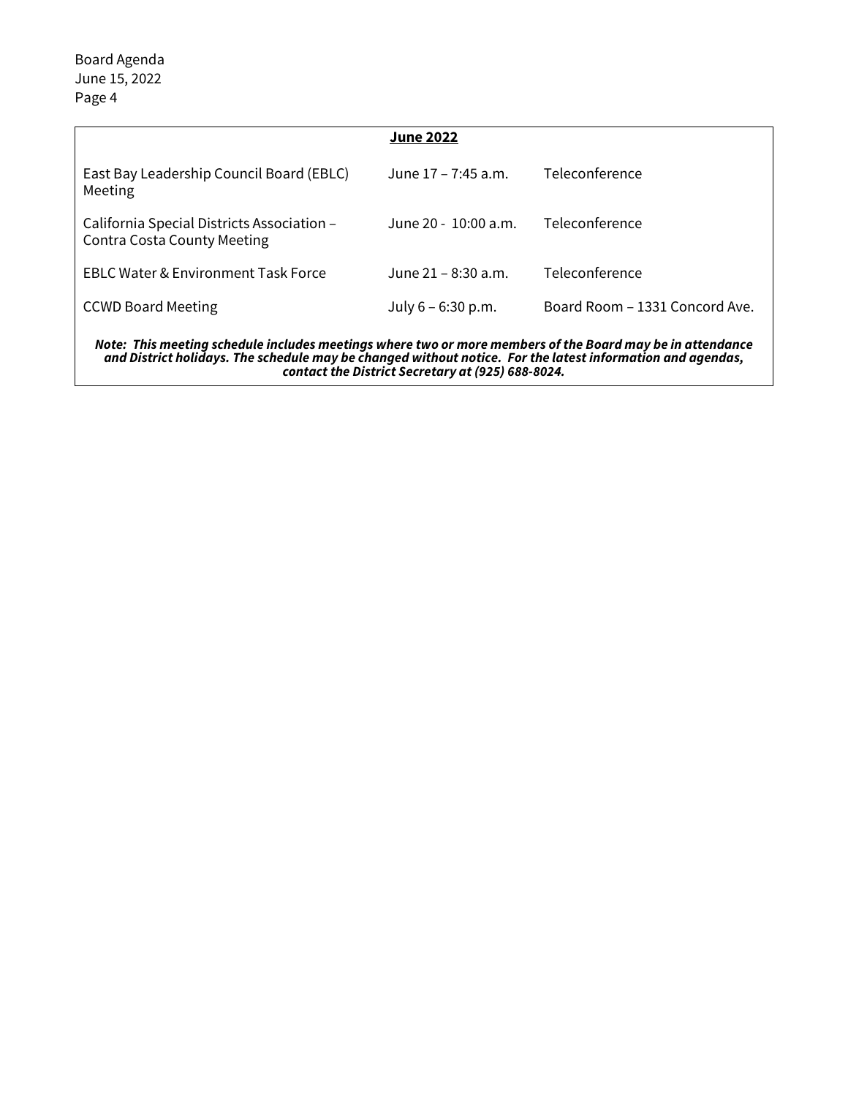|                                                                                                                                                                                                                                                                              | <b>June 2022</b>     |                                |
|------------------------------------------------------------------------------------------------------------------------------------------------------------------------------------------------------------------------------------------------------------------------------|----------------------|--------------------------------|
| East Bay Leadership Council Board (EBLC)<br>Meeting                                                                                                                                                                                                                          | June 17 – 7:45 a.m.  | Teleconference                 |
| California Special Districts Association –<br><b>Contra Costa County Meeting</b>                                                                                                                                                                                             | June 20 - 10:00 a.m. | Teleconference                 |
| <b>EBLC Water &amp; Environment Task Force</b>                                                                                                                                                                                                                               | June 21 – 8:30 a.m.  | Teleconference                 |
| <b>CCWD Board Meeting</b>                                                                                                                                                                                                                                                    | July $6 - 6:30$ p.m. | Board Room - 1331 Concord Ave. |
| Note: This meeting schedule includes meetings where two or more members of the Board may be in attendance<br>and District holidays. The schedule may be changed without notice. For the latest information and agendas,<br>contact the District Secretary at (925) 688-8024. |                      |                                |